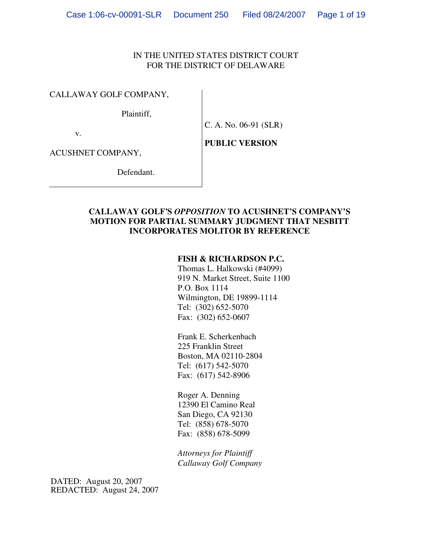### IN THE UNITED STATES DISTRICT COURT FOR THE DISTRICT OF DELAWARE

#### CALLAWAY GOLF COMPANY,

Plaintiff,

C. A. No. 06-91 (SLR)

v.

**PUBLIC VERSION**

ACUSHNET COMPANY,

Defendant.

### **CALLAWAY GOLF'S** *OPPOSITION* **TO ACUSHNET'S COMPANY'S MOTION FOR PARTIAL SUMMARY JUDGMENT THAT NESBITT INCORPORATES MOLITOR BY REFERENCE**

#### **FISH & RICHARDSON P.C.**

Thomas L. Halkowski (#4099) 919 N. Market Street, Suite 1100 P.O. Box 1114 Wilmington, DE 19899-1114 Tel: (302) 652-5070 Fax: (302) 652-0607

Frank E. Scherkenbach 225 Franklin Street Boston, MA 02110-2804 Tel: (617) 542-5070 Fax: (617) 542-8906

Roger A. Denning 12390 El Camino Real San Diego, CA 92130 Tel: (858) 678-5070 Fax: (858) 678-5099

*Attorneys for Plaintiff Callaway Golf Company*

DATED: August 20, 2007 REDACTED: August 24, 2007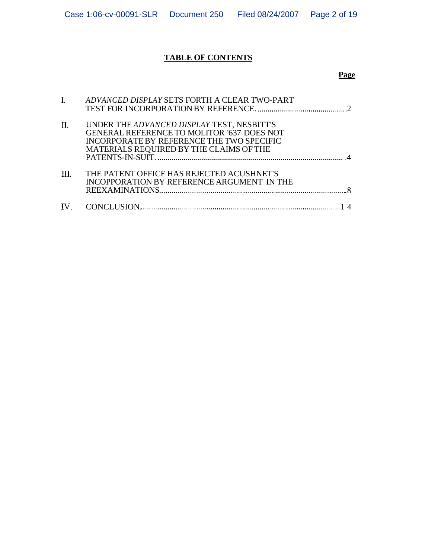# **TABLE OF CONTENTS**

# **Page**

| ADVANCED DISPLAY SETS FORTH A CLEAR TWO-PART      |
|---------------------------------------------------|
|                                                   |
| UNDER THE ADVANCED DISPLAY TEST, NESBITT'S        |
| <b>GENERAL REFERENCE TO MOLITOR '637 DOES NOT</b> |
| INCORPORATE BY REFERENCE THE TWO SPECIFIC         |
| MATERIALS REQUIRED BY THE CLAIMS OF THE           |
|                                                   |
| THE PATENT OFFICE HAS REJECTED ACUSHNET'S         |
| INCOPPORATION BY REFERENCE ARGUMENT IN THE        |
|                                                   |
|                                                   |
|                                                   |
|                                                   |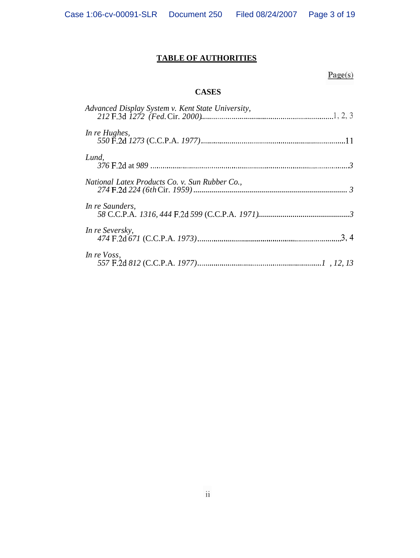# **TABLE OF AUTHORITIES**

# $Page(s)$

# **CASES**

| Advanced Display System v. Kent State University, |
|---------------------------------------------------|
| In re Hughes,                                     |
| Lund,                                             |
| National Latex Products Co. v. Sun Rubber Co.,    |
| In re Saunders,                                   |
| In re Seversky,                                   |
| In re Voss,                                       |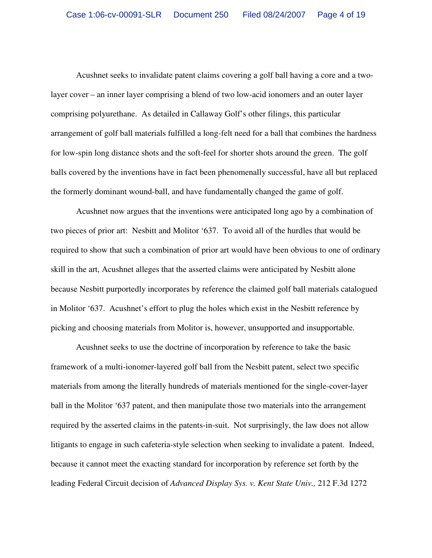Acushnet seeks to invalidate patent claims covering a golf ball having a core and a twolayer cover – an inner layer comprising a blend of two low-acid ionomers and an outer layer comprising polyurethane. As detailed in Callaway Golf's other filings, this particular arrangement of golf ball materials fulfilled a long-felt need for a ball that combines the hardness for low-spin long distance shots and the soft-feel for shorter shots around the green. The golf balls covered by the inventions have in fact been phenomenally successful, have all but replaced the formerly dominant wound-ball, and have fundamentally changed the game of golf.

Acushnet now argues that the inventions were anticipated long ago by a combination of two pieces of prior art: Nesbitt and Molitor '637. To avoid all of the hurdles that would be required to show that such a combination of prior art would have been obvious to one of ordinary skill in the art, Acushnet alleges that the asserted claims were anticipated by Nesbitt alone because Nesbitt purportedly incorporates by reference the claimed golf ball materials catalogued in Molitor '637. Acushnet's effort to plug the holes which exist in the Nesbitt reference by picking and choosing materials from Molitor is, however, unsupported and insupportable.

Acushnet seeks to use the doctrine of incorporation by reference to take the basic framework of a multi-ionomer-layered golf ball from the Nesbitt patent, select two specific materials from among the literally hundreds of materials mentioned for the single-cover-layer ball in the Molitor '637 patent, and then manipulate those two materials into the arrangement required by the asserted claims in the patents-in-suit. Not surprisingly, the law does not allow litigants to engage in such cafeteria-style selection when seeking to invalidate a patent. Indeed, because it cannot meet the exacting standard for incorporation by reference set forth by the leading Federal Circuit decision of *Advanced Display Sys. v. Kent State Univ.,* 212 F.3d 1272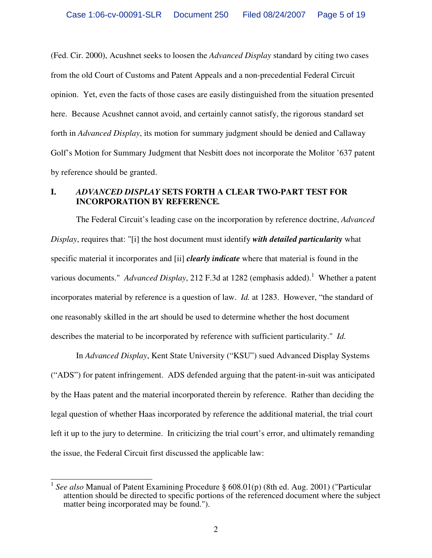(Fed. Cir. 2000), Acushnet seeks to loosen the *Advanced Display* standard by citing two cases from the old Court of Customs and Patent Appeals and a non-precedential Federal Circuit opinion. Yet, even the facts of those cases are easily distinguished from the situation presented here. Because Acushnet cannot avoid, and certainly cannot satisfy, the rigorous standard set forth in *Advanced Display*, its motion for summary judgment should be denied and Callaway Golf's Motion for Summary Judgment that Nesbitt does not incorporate the Molitor '637 patent by reference should be granted.

# **I.** *ADVANCED DISPLAY* **SETS FORTH A CLEAR TWO-PART TEST FOR INCORPORATION BY REFERENCE***.*

The Federal Circuit's leading case on the incorporation by reference doctrine, *Advanced Display*, requires that: "[i] the host document must identify *with detailed particularity* what specific material it incorporates and [ii] *clearly indicate* where that material is found in the various documents." *Advanced Display*, 212 F.3d at 1282 (emphasis added). <sup>1</sup> Whether a patent incorporates material by reference is a question of law. *Id.* at 1283. However, "the standard of one reasonably skilled in the art should be used to determine whether the host document describes the material to be incorporated by reference with sufficient particularity." *Id.*

In *Advanced Display*, Kent State University ("KSU") sued Advanced Display Systems ("ADS") for patent infringement. ADS defended arguing that the patent-in-suit was anticipated by the Haas patent and the material incorporated therein by reference. Rather than deciding the legal question of whether Haas incorporated by reference the additional material, the trial court left it up to the jury to determine. In criticizing the trial court's error, and ultimately remanding the issue, the Federal Circuit first discussed the applicable law:

 1 *See also* Manual of Patent Examining Procedure § 608.01(p) (8th ed. Aug. 2001) ("Particular attention should be directed to specific portions of the referenced document where the subject matter being incorporated may be found.").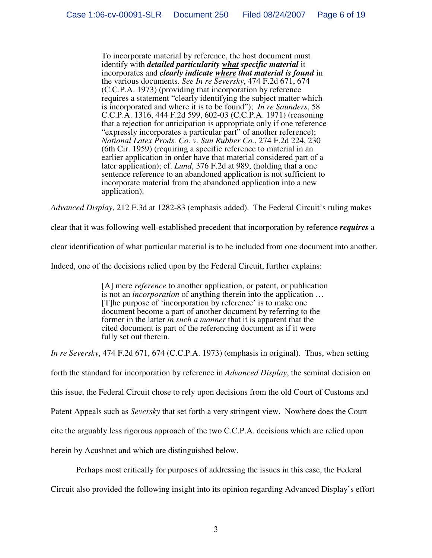To incorporate material by reference, the host document must identify with *detailed particularity what specific material* it incorporates and *clearly indicate where that material is found* in the various documents. *See In re Seversky*, 474 F.2d 671, 674 (C.C.P.A. 1973) (providing that incorporation by reference requires a statement "clearly identifying the subject matter which is incorporated and where it is to be found"); *In re Saunders*, 58 C.C.P.A. 1316, 444 F.2d 599, 602-03 (C.C.P.A. 1971) (reasoning that a rejection for anticipation is appropriate only if one reference " expressly incorporates a particular part" of another reference); *National Latex Prods. Co. v. Sun Rubber Co.*, 274 F.2d 224, 230 (6th Cir. 1959) (requiring a specific reference to material in an earlier application in order have that material considered part of a later application); cf. *Lund*, 376 F.2d at 989, (holding that a one sentence reference to an abandoned application is not sufficient to incorporate material from the abandoned application into a new application).

*Advanced Display*, 212 F.3d at 1282-83 (emphasis added). The Federal Circuit's ruling makes

clear that it was following well-established precedent that incorporation by reference *requires* a

clear identification of what particular material is to be included from one document into another.

Indeed, one of the decisions relied upon by the Federal Circuit, further explains:

[A] mere *reference* to another application, or patent, or publication is not an *incorporation* of anything therein into the application … [T]he purpose of 'incorporation by reference' is to make one document become a part of another document by referring to the former in the latter *in such a manner* that it is apparent that the cited document is part of the referencing document as if it were fully set out therein.

*In re Seversky*, 474 F.2d 671, 674 (C.C.P.A. 1973) (emphasis in original). Thus, when setting

forth the standard for incorporation by reference in *Advanced Display*, the seminal decision on

this issue, the Federal Circuit chose to rely upon decisions from the old Court of Customs and

Patent Appeals such as *Seversky* that set forth a very stringent view. Nowhere does the Court

cite the arguably less rigorous approach of the two C.C.P.A. decisions which are relied upon

herein by Acushnet and which are distinguished below.

Perhaps most critically for purposes of addressing the issues in this case, the Federal

Circuit also provided the following insight into its opinion regarding Advanced Display's effort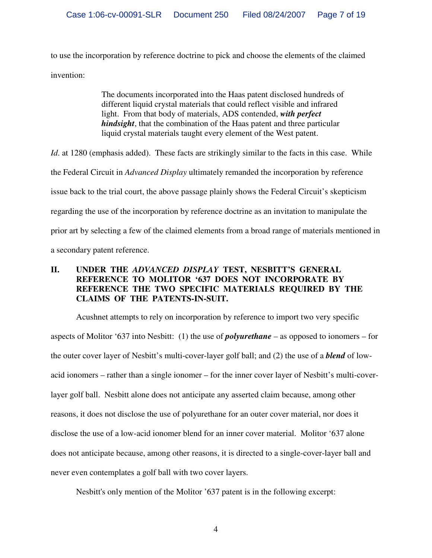to use the incorporation by reference doctrine to pick and choose the elements of the claimed invention:

> The documents incorporated into the Haas patent disclosed hundreds of different liquid crystal materials that could reflect visible and infrared light. From that body of materials, ADS contended, *with perfect hindsight*, that the combination of the Haas patent and three particular liquid crystal materials taught every element of the West patent.

*Id.* at 1280 (emphasis added). These facts are strikingly similar to the facts in this case. While

the Federal Circuit in *Advanced Display* ultimately remanded the incorporation by reference

issue back to the trial court, the above passage plainly shows the Federal Circuit's skepticism

regarding the use of the incorporation by reference doctrine as an invitation to manipulate the

prior art by selecting a few of the claimed elements from a broad range of materials mentioned in

a secondary patent reference.

# **II. UNDER THE** *ADVANCED DISPLAY* **TEST, NESBITT'S GENERAL REFERENCE TO MOLITOR '637 DOES NOT INCORPORATE BY REFERENCE THE TWO SPECIFIC MATERIALS REQUIRED BY THE CLAIMS OF THE PATENTS-IN-SUIT.**

Acushnet attempts to rely on incorporation by reference to import two very specific aspects of Molitor '637 into Nesbitt: (1) the use of *polyurethane* – as opposed to ionomers – for the outer cover layer of Nesbitt's multi-cover-layer golf ball; and (2) the use of a *blend* of lowacid ionomers – rather than a single ionomer – for the inner cover layer of Nesbitt's multi-coverlayer golf ball. Nesbitt alone does not anticipate any asserted claim because, among other reasons, it does not disclose the use of polyurethane for an outer cover material, nor does it disclose the use of a low-acid ionomer blend for an inner cover material. Molitor '637 alone does not anticipate because, among other reasons, it is directed to a single-cover-layer ball and never even contemplates a golf ball with two cover layers.

Nesbitt's only mention of the Molitor '637 patent is in the following excerpt: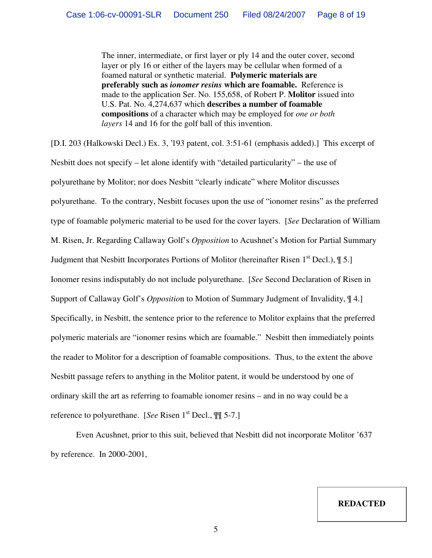The inner, intermediate, or first layer or ply 14 and the outer cover, second layer or ply 16 or either of the layers may be cellular when formed of a foamed natural or synthetic material. **Polymeric materials are preferably such as** *ionomer resins* **which are foamable.** Reference is made to the application Ser. No. 155,658, of Robert P. **Molitor** issued into U.S. Pat. No. 4,274,637 which **describes a number of foamable compositions** of a character which may be employed for *one or both layers* 14 and 16 for the golf ball of this invention.

[D.I. 203 (Halkowski Decl.) Ex. 3, '193 patent, col. 3:51-61 (emphasis added).] This excerpt of Nesbitt does not specify – let alone identify with "detailed particularity" – the use of polyurethane by Molitor; nor does Nesbitt "clearly indicate" where Molitor discusses polyurethane. To the contrary, Nesbitt focuses upon the use of " ionomer resins" as the preferred type of foamable polymeric material to be used for the cover layers. [*See* Declaration of William M. Risen, Jr. Regarding Callaway Golf's *Opposition* to Acushnet's Motion for Partial Summary Judgment that Nesbitt Incorporates Portions of Molitor (hereinafter Risen 1<sup>st</sup> Decl.),  $\oint$  5.] Ionomer resins indisputably do not include polyurethane. [*See* Second Declaration of Risen in Support of Callaway Golf's *Oppositio*n to Motion of Summary Judgment of Invalidity, ¶ 4.] Specifically, in Nesbitt, the sentence prior to the reference to Molitor explains that the preferred polymeric materials are "ionomer resins which are foamable." Nesbitt then immediately points the reader to Molitor for a description of foamable compositions. Thus, to the extent the above Nesbitt passage refers to anything in the Molitor patent, it would be understood by one of ordinary skill the art as referring to foamable ionomer resins – and in no way could be a reference to polyurethane. [See Risen 1<sup>st</sup> Decl.,  $\mathbb{I}$  5-7.]

Even Acushnet, prior to this suit, believed that Nesbitt did not incorporate Molitor '637 by reference. In  $2000-2001$ ,

**REDACTED**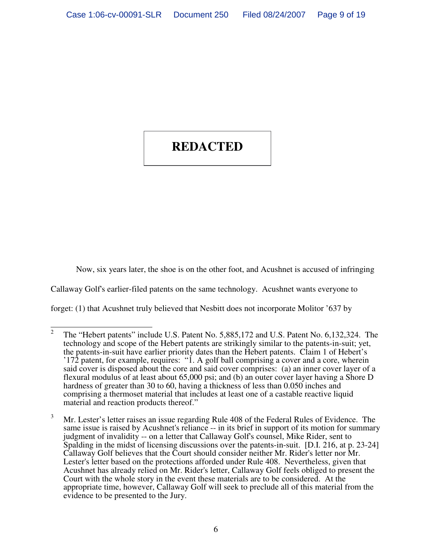#### and Molitor ' 637 – the very same reference at issue here. In a letter to Callaway Golf ' 637 – the very same dated January 2, 2001, Acushnet's chief patent counsel, Troy Lester, stated in pertinent part: **REDACTED**

Now, six years later, the shoe is on the other foot, and Acushnet is accused of infringing

Callaway Golf's earlier-filed patents on the same technology. Acushnet wants everyone to

forget: (1) that Acushnet truly believed that Nesbitt does not incorporate Molitor '637 by

 $\frac{1}{2}$ The "Hebert patents" include U.S. Patent No. 5,885,172 and U.S. Patent No. 6,132,324. The technology and scope of the Hebert patents are strikingly similar to the patents-in-suit; yet, the patents-in-suit have earlier priority dates than the Hebert patents. Claim 1 of Hebert's ' 172 patent, for example, requires: " 1. A golf ball comprising a cover and a core, wherein said cover is disposed about the core and said cover comprises: (a) an inner cover layer of a flexural modulus of at least about 65,000 psi; and (b) an outer cover layer having a Shore D hardness of greater than 30 to 60, having a thickness of less than 0.050 inches and comprising a thermoset material that includes at least one of a castable reactive liquid material and reaction products thereof."

 $3$  Mr. Lester's letter raises an issue regarding Rule 408 of the Federal Rules of Evidence. The same issue is raised by Acushnet's reliance -- in its brief in support of its motion for summary judgment of invalidity -- on a letter that Callaway Golf's counsel, Mike Rider, sent to Spalding in the midst of licensing discussions over the patents-in-suit. [D.I. 216, at p. 23-24] Callaway Golf believes that the Court should consider neither Mr. Rider's letter nor Mr. Lester's letter based on the protections afforded under Rule 408. Nevertheless, given that Acushnet has already relied on Mr. Rider's letter, Callaway Golf feels obliged to present the Court with the whole story in the event these materials are to be considered. At the appropriate time, however, Callaway Golf will seek to preclude all of this material from the evidence to be presented to the Jury.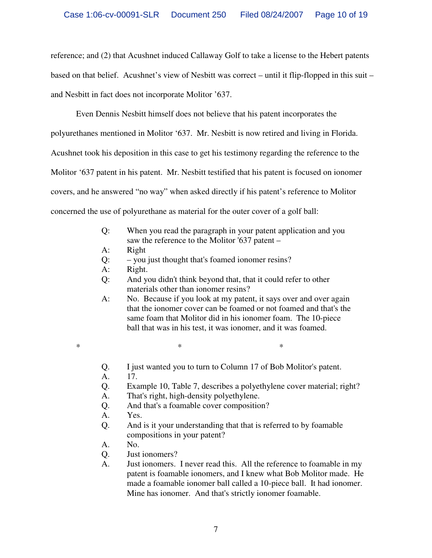reference; and (2) that Acushnet induced Callaway Golf to take a license to the Hebert patents based on that belief. Acushnet's view of Nesbitt was correct – until it flip-flopped in this suit – and Nesbitt in fact does not incorporate Molitor '637.

Even Dennis Nesbitt himself does not believe that his patent incorporates the polyurethanes mentioned in Molitor '637. Mr. Nesbitt is now retired and living in Florida. Acushnet took his deposition in this case to get his testimony regarding the reference to the Molitor '637 patent in his patent. Mr. Nesbitt testified that his patent is focused on ionomer covers, and he answered " no way" when asked directly if his patent's reference to Molitor concerned the use of polyurethane as material for the outer cover of a golf ball:

- Q: When you read the paragraph in your patent application and you saw the reference to the Molitor '637 patent –
- A: Right
- Q: you just thought that's foamed ionomer resins?
- A: Right.
- Q: And you didn't think beyond that, that it could refer to other materials other than ionomer resins?
- A: No. Because if you look at my patent, it says over and over again that the ionomer cover can be foamed or not foamed and that's the same foam that Molitor did in his ionomer foam. The 10-piece ball that was in his test, it was ionomer, and it was foamed.
- 
- \* \* \*
	- Q. I just wanted you to turn to Column 17 of Bob Molitor's patent.
	- A. 17.
	- Q. Example 10, Table 7, describes a polyethylene cover material; right?
	- A. That's right, high-density polyethylene.
	- Q. And that's a foamable cover composition?
	- A. Yes.
	- Q. And is it your understanding that that is referred to by foamable compositions in your patent?
	- A. No.
	- Q. Just ionomers?
	- A. Just ionomers. I never read this. All the reference to foamable in my patent is foamable ionomers, and I knew what Bob Molitor made. He made a foamable ionomer ball called a 10-piece ball. It had ionomer. Mine has ionomer. And that's strictly ionomer foamable.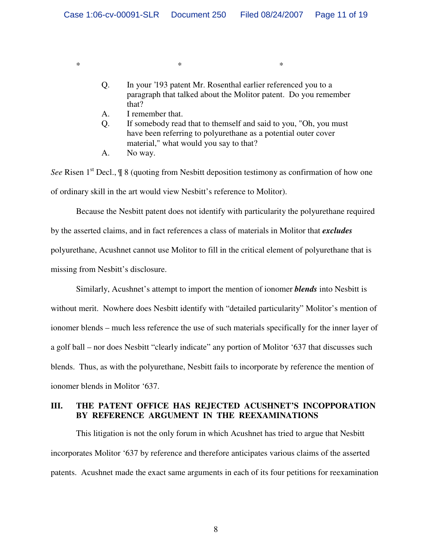Q. In your '193 patent Mr. Rosenthal earlier referenced you to a paragraph that talked about the Molitor patent. Do you remember that?

A. I remember that.

\* \* \*

- Q. If somebody read that to themself and said to you, "Oh, you must have been referring to polyurethane as a potential outer cover material," what would you say to that?
- A. No way.

See Risen 1<sup>st</sup> Decl.,  $\frac{1}{3}$  8 (quoting from Nesbitt deposition testimony as confirmation of how one of ordinary skill in the art would view Nesbitt's reference to Molitor).

Because the Nesbitt patent does not identify with particularity the polyurethane required by the asserted claims, and in fact references a class of materials in Molitor that *excludes* polyurethane, Acushnet cannot use Molitor to fill in the critical element of polyurethane that is missing from Nesbitt's disclosure.

Similarly, Acushnet's attempt to import the mention of ionomer *blends* into Nesbitt is without merit. Nowhere does Nesbitt identify with "detailed particularity" Molitor's mention of ionomer blends – much less reference the use of such materials specifically for the inner layer of a golf ball – nor does Nesbitt "clearly indicate" any portion of Molitor '637 that discusses such blends. Thus, as with the polyurethane, Nesbitt fails to incorporate by reference the mention of ionomer blends in Molitor '637.

# **III. THE PATENT OFFICE HAS REJECTED ACUSHNET'S INCOPPORATION BY REFERENCE ARGUMENT IN THE REEXAMINATIONS**

This litigation is not the only forum in which Acushnet has tried to argue that Nesbitt incorporates Molitor '637 by reference and therefore anticipates various claims of the asserted patents. Acushnet made the exact same arguments in each of its four petitions for reexamination

8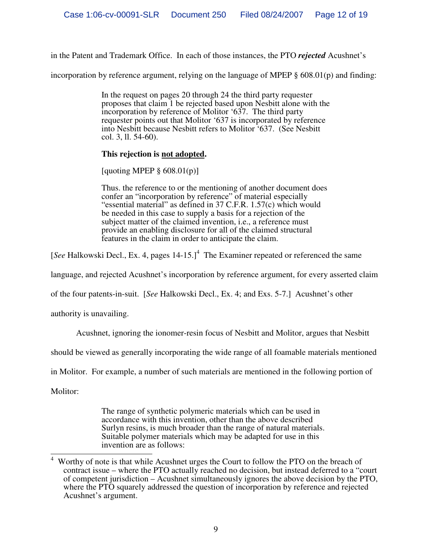in the Patent and Trademark Office. In each of those instances, the PTO *rejected* Acushnet's

incorporation by reference argument, relying on the language of MPEP  $\S$  608.01(p) and finding:

In the request on pages 20 through 24 the third party requester proposes that claim 1 be rejected based upon Nesbitt alone with the incorporation by reference of Molitor '637. The third party requester points out that Molitor '637 is incorporated by reference into Nesbitt because Nesbitt refers to Molitor '637. (See Nesbitt col. 3, ll. 54-60).

#### **This rejection is not adopted.**

[quoting MPEP  $\S$  608.01(p)]

Thus. the reference to or the mentioning of another document does confer an "incorporation by reference" of material especially " essential material" as defined in 37 C.F.R. 1.57(c) which would be needed in this case to supply a basis for a rejection of the subject matter of the claimed invention, i.e., a reference must provide an enabling disclosure for all of the claimed structural features in the claim in order to anticipate the claim.

[See Halkowski Decl., Ex. 4, pages 14-15.]<sup>4</sup> The Examiner repeated or referenced the same

language, and rejected Acushnet's incorporation by reference argument, for every asserted claim

of the four patents-in-suit. [*See* Halkowski Decl., Ex. 4; and Exs. 5-7.] Acushnet's other

authority is unavailing.

Acushnet, ignoring the ionomer-resin focus of Nesbitt and Molitor, argues that Nesbitt

should be viewed as generally incorporating the wide range of all foamable materials mentioned

in Molitor. For example, a number of such materials are mentioned in the following portion of

Molitor:

The range of synthetic polymeric materials which can be used in accordance with this invention, other than the above described Surlyn resins, is much broader than the range of natural materials. Suitable polymer materials which may be adapted for use in this invention are as follows:

 $\overline{a}$ <sup>4</sup> Worthy of note is that while Acushnet urges the Court to follow the PTO on the breach of contract issue – where the PTO actually reached no decision, but instead deferred to a "court" of competent jurisdiction – Acushnet simultaneously ignores the above decision by the PTO, where the PTO squarely addressed the question of incorporation by reference and rejected Acushnet's argument.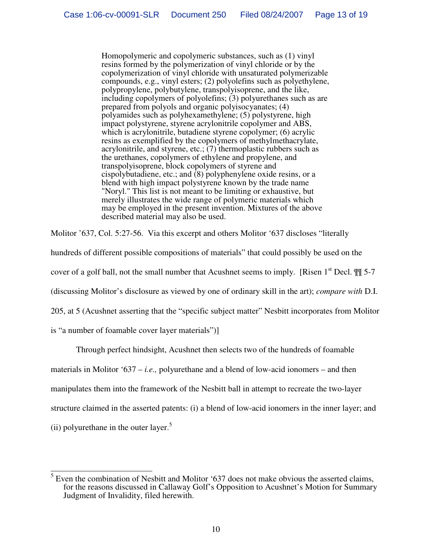Homopolymeric and copolymeric substances, such as (1) vinyl resins formed by the polymerization of vinyl chloride or by the copolymerization of vinyl chloride with unsaturated polymerizable compounds, e.g., vinyl esters; (2) polyolefins such as polyethylene, polypropylene, polybutylene, transpolyisoprene, and the like, including copolymers of polyolefins; (3) polyurethanes such as are prepared from polyols and organic polyisocyanates; (4) polyamides such as polyhexamethylene; (5) polystyrene, high impact polystyrene, styrene acrylonitrile copolymer and ABS, which is acrylonitrile, butadiene styrene copolymer; (6) acrylic resins as exemplified by the copolymers of methylmethacrylate, acrylonitrile, and styrene, etc.;  $(7)$  thermoplastic rubbers such as the urethanes, copolymers of ethylene and propylene, and transpolyisoprene, block copolymers of styrene and cispolybutadiene, etc.; and (8) polyphenylene oxide resins, or a blend with high impact polystyrene known by the trade name "Noryl." This list is not meant to be limiting or exhaustive, but merely illustrates the wide range of polymeric materials which may be employed in the present invention. Mixtures of the above described material may also be used.

Molitor '637, Col. 5:27-56. Via this excerpt and others Molitor '637 discloses "literally

hundreds of different possible compositions of materials" that could possibly be used on the

cover of a golf ball, not the small number that Acushnet seems to imply. [Risen  $1<sup>st</sup>$  Decl.  $\mathbb{I}\{$  5-7

(discussing Molitor's disclosure as viewed by one of ordinary skill in the art); *compare with* D.I.

205, at 5 (Acushnet asserting that the "specific subject matter" Nesbitt incorporates from Molitor

is "a number of foamable cover layer materials")

Through perfect hindsight, Acushnet then selects two of the hundreds of foamable

materials in Molitor '637 – *i.e.,* polyurethane and a blend of low-acid ionomers – and then

manipulates them into the framework of the Nesbitt ball in attempt to recreate the two-layer

structure claimed in the asserted patents: (i) a blend of low-acid ionomers in the inner layer; and

(ii) polyurethane in the outer layer.<sup>5</sup>

 $\frac{5}{5}$  Even the combination of Nesbitt and Molitor '637 does not make obvious the asserted claims, for the reasons discussed in Callaway Golf's Opposition to Acushnet's Motion for Summary Judgment of Invalidity, filed herewith.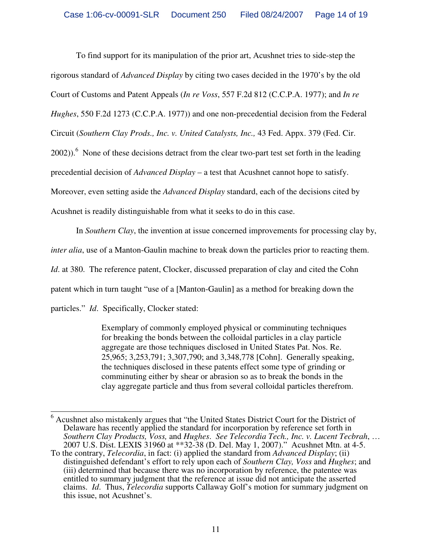To find support for its manipulation of the prior art, Acushnet tries to side-step the rigorous standard of *Advanced Display* by citing two cases decided in the 1970's by the old Court of Customs and Patent Appeals (*In re Voss*, 557 F.2d 812 (C.C.P.A. 1977); and *In re Hughes*, 550 F.2d 1273 (C.C.P.A. 1977)) and one non-precedential decision from the Federal Circuit (*Southern Clay Prods., Inc. v. United Catalysts, Inc.,* 43 Fed. Appx. 379 (Fed. Cir.  $2002)$ .<sup>6</sup> None of these decisions detract from the clear two-part test set forth in the leading precedential decision of *Advanced Display* – a test that Acushnet cannot hope to satisfy. Moreover, even setting aside the *Advanced Display* standard, each of the decisions cited by Acushnet is readily distinguishable from what it seeks to do in this case.

In *Southern Clay*, the invention at issue concerned improvements for processing clay by, *inter alia*, use of a Manton-Gaulin machine to break down the particles prior to reacting them. *Id.* at 380. The reference patent, Clocker, discussed preparation of clay and cited the Cohn patent which in turn taught " use of a [Manton-Gaulin] as a method for breaking down the particles." *Id*. Specifically, Clocker stated:

> Exemplary of commonly employed physical or comminuting techniques for breaking the bonds between the colloidal particles in a clay particle aggregate are those techniques disclosed in United States Pat. Nos. Re. 25,965; 3,253,791; 3,307,790; and 3,348,778 [Cohn]. Generally speaking, the techniques disclosed in these patents effect some type of grinding or comminuting either by shear or abrasion so as to break the bonds in the clay aggregate particle and thus from several colloidal particles therefrom.

 $\overline{\phantom{a}}$  $6$  Acushnet also mistakenly argues that "the United States District Court for the District of Delaware has recently applied the standard for incorporation by reference set forth in *Southern Clay Products, Voss,* and *Hughes*. *See Telecordia Tech., Inc. v. Lucent Tecbrah*, … 2007 U.S. Dist. LEXIS 31960 at \*\*32-38 (D. Del. May 1, 2007)." Acushnet Mtn. at 4-5.

To the contrary, *Telecordia*, in fact: (i) applied the standard from *Advanced Display*; (ii) distinguished defendant's effort to rely upon each of *Southern Clay, Voss* and *Hughes*; and (iii) determined that because there was no incorporation by reference, the patentee was entitled to summary judgment that the reference at issue did not anticipate the asserted claims. *Id*. Thus, *Telecordia* supports Callaway Golf's motion for summary judgment on this issue, not Acushnet's.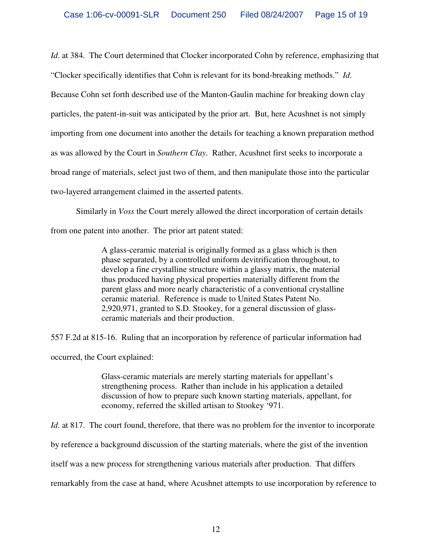*Id.* at 384. The Court determined that Clocker incorporated Cohn by reference, emphasizing that "Clocker specifically identifies that Cohn is relevant for its bond-breaking methods." *Id*. Because Cohn set forth described use of the Manton-Gaulin machine for breaking down clay particles, the patent-in-suit was anticipated by the prior art. But, here Acushnet is not simply importing from one document into another the details for teaching a known preparation method as was allowed by the Court in *Southern Clay*. Rather, Acushnet first seeks to incorporate a broad range of materials, select just two of them, and then manipulate those into the particular two-layered arrangement claimed in the asserted patents.

Similarly in *Voss* the Court merely allowed the direct incorporation of certain details from one patent into another. The prior art patent stated:

> A glass-ceramic material is originally formed as a glass which is then phase separated, by a controlled uniform devitrification throughout, to develop a fine crystalline structure within a glassy matrix, the material thus produced having physical properties materially different from the parent glass and more nearly characteristic of a conventional crystalline ceramic material. Reference is made to United States Patent No. 2,920,971, granted to S.D. Stookey, for a general discussion of glassceramic materials and their production.

557 F.2d at 815-16. Ruling that an incorporation by reference of particular information had

occurred, the Court explained:

Glass-ceramic materials are merely starting materials for appellant's strengthening process. Rather than include in his application a detailed discussion of how to prepare such known starting materials, appellant, for economy, referred the skilled artisan to Stookey '971.

*Id.* at 817. The court found, therefore, that there was no problem for the inventor to incorporate

by reference a background discussion of the starting materials, where the gist of the invention

itself was a new process for strengthening various materials after production. That differs

remarkably from the case at hand, where Acushnet attempts to use incorporation by reference to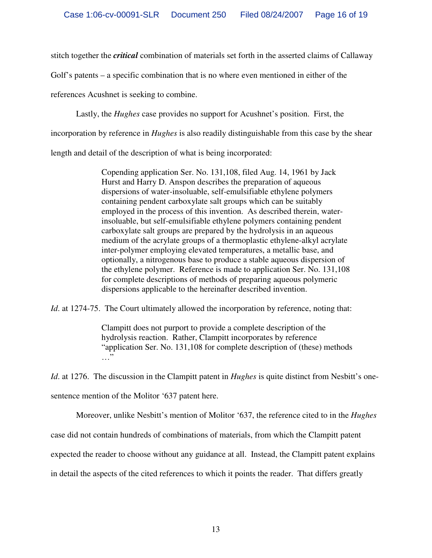stitch together the *critical* combination of materials set forth in the asserted claims of Callaway

Golf's patents – a specific combination that is no where even mentioned in either of the

references Acushnet is seeking to combine.

Lastly, the *Hughes* case provides no support for Acushnet's position. First, the

incorporation by reference in *Hughes* is also readily distinguishable from this case by the shear

length and detail of the description of what is being incorporated:

Copending application Ser. No. 131,108, filed Aug. 14, 1961 by Jack Hurst and Harry D. Anspon describes the preparation of aqueous dispersions of water-insoluable, self-emulsifiable ethylene polymers containing pendent carboxylate salt groups which can be suitably employed in the process of this invention. As described therein, waterinsoluable, but self-emulsifiable ethylene polymers containing pendent carboxylate salt groups are prepared by the hydrolysis in an aqueous medium of the acrylate groups of a thermoplastic ethylene-alkyl acrylate inter-polymer employing elevated temperatures, a metallic base, and optionally, a nitrogenous base to produce a stable aqueous dispersion of the ethylene polymer. Reference is made to application Ser. No. 131,108 for complete descriptions of methods of preparing aqueous polymeric dispersions applicable to the hereinafter described invention.

*Id.* at 1274-75. The Court ultimately allowed the incorporation by reference, noting that:

Clampitt does not purport to provide a complete description of the hydrolysis reaction. Rather, Clampitt incorporates by reference " application Ser. No. 131,108 for complete description of (these) methods …"

*Id.* at 1276. The discussion in the Clampitt patent in *Hughes* is quite distinct from Nesbitt's onesentence mention of the Molitor '637 patent here.

Moreover, unlike Nesbitt's mention of Molitor '637, the reference cited to in the *Hughes*

case did not contain hundreds of combinations of materials, from which the Clampitt patent

expected the reader to choose without any guidance at all. Instead, the Clampitt patent explains

in detail the aspects of the cited references to which it points the reader. That differs greatly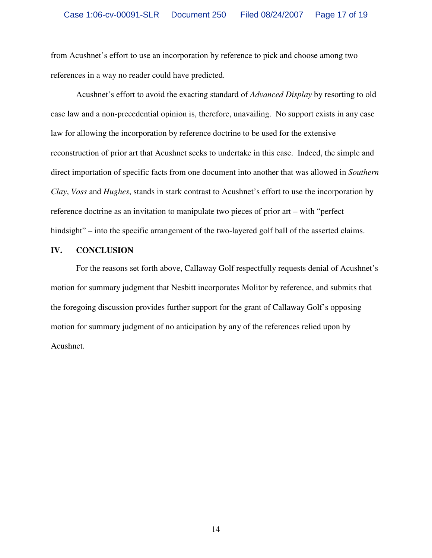from Acushnet's effort to use an incorporation by reference to pick and choose among two references in a way no reader could have predicted.

Acushnet's effort to avoid the exacting standard of *Advanced Display* by resorting to old case law and a non-precedential opinion is, therefore, unavailing. No support exists in any case law for allowing the incorporation by reference doctrine to be used for the extensive reconstruction of prior art that Acushnet seeks to undertake in this case. Indeed, the simple and direct importation of specific facts from one document into another that was allowed in *Southern Clay*, *Voss* and *Hughes*, stands in stark contrast to Acushnet's effort to use the incorporation by reference doctrine as an invitation to manipulate two pieces of prior art – with "perfect" hindsight" – into the specific arrangement of the two-layered golf ball of the asserted claims.

### **IV. CONCLUSION**

For the reasons set forth above, Callaway Golf respectfully requests denial of Acushnet's motion for summary judgment that Nesbitt incorporates Molitor by reference, and submits that the foregoing discussion provides further support for the grant of Callaway Golf's opposing motion for summary judgment of no anticipation by any of the references relied upon by Acushnet.

14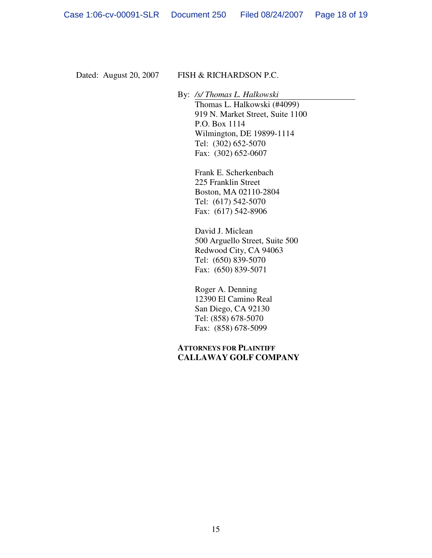## Dated: August 20, 2007 FISH & RICHARDSON P.C.

By: */s/ Thomas L. Halkowski* Thomas L. Halkowski (#4099) 919 N. Market Street, Suite 1100 P.O. Box 1114 Wilmington, DE 19899-1114 Tel: (302) 652-5070 Fax: (302) 652-0607

> Frank E. Scherkenbach 225 Franklin Street Boston, MA 02110-2804 Tel: (617) 542-5070 Fax: (617) 542-8906

David J. Miclean 500 Arguello Street, Suite 500 Redwood City, CA 94063 Tel: (650) 839-5070 Fax: (650) 839-5071

Roger A. Denning 12390 El Camino Real San Diego, CA 92130 Tel: (858) 678-5070 Fax: (858) 678-5099

## **ATTORNEYS FOR PLAINTIFF CALLAWAY GOLF COMPANY**